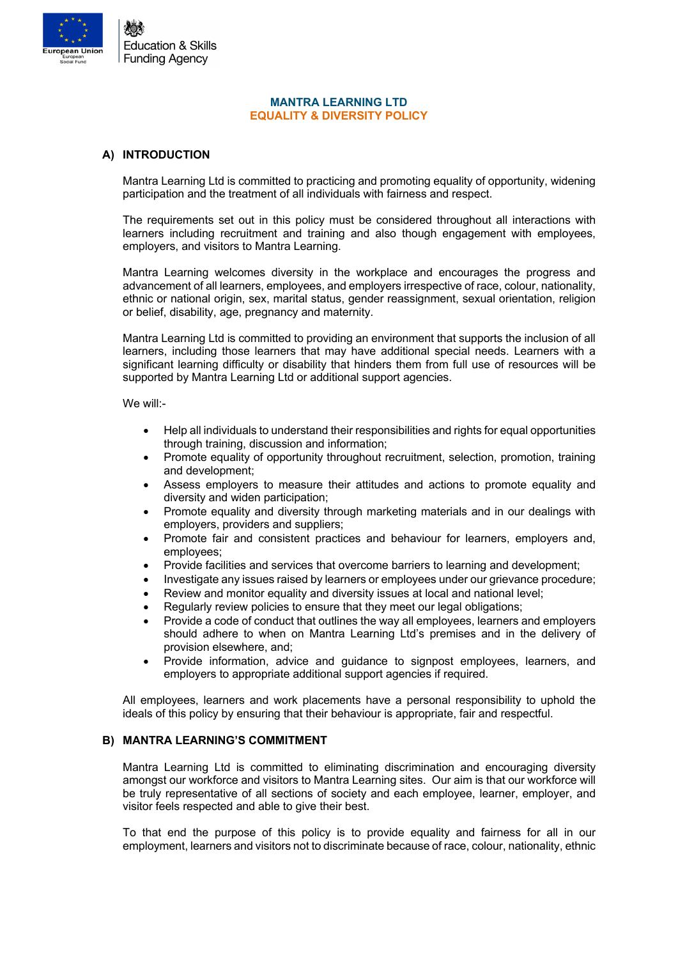

## **MANTRA LEARNING LTD EQUALITY & DIVERSITY POLICY**

# **A) INTRODUCTION**

Mantra Learning Ltd is committed to practicing and promoting equality of opportunity, widening participation and the treatment of all individuals with fairness and respect.

The requirements set out in this policy must be considered throughout all interactions with learners including recruitment and training and also though engagement with employees, employers, and visitors to Mantra Learning.

Mantra Learning welcomes diversity in the workplace and encourages the progress and advancement of all learners, employees, and employers irrespective of race, colour, nationality, ethnic or national origin, sex, marital status, gender reassignment, sexual orientation, religion or belief, disability, age, pregnancy and maternity.

Mantra Learning Ltd is committed to providing an environment that supports the inclusion of all learners, including those learners that may have additional special needs. Learners with a significant learning difficulty or disability that hinders them from full use of resources will be supported by Mantra Learning Ltd or additional support agencies.

We will:-

- Help all individuals to understand their responsibilities and rights for equal opportunities through training, discussion and information;
- Promote equality of opportunity throughout recruitment, selection, promotion, training and development;
- Assess employers to measure their attitudes and actions to promote equality and diversity and widen participation;
- Promote equality and diversity through marketing materials and in our dealings with employers, providers and suppliers;
- Promote fair and consistent practices and behaviour for learners, employers and, employees;
- Provide facilities and services that overcome barriers to learning and development;
- Investigate any issues raised by learners or employees under our grievance procedure;
- Review and monitor equality and diversity issues at local and national level;
- Regularly review policies to ensure that they meet our legal obligations:
- Provide a code of conduct that outlines the way all employees, learners and employers should adhere to when on Mantra Learning Ltd's premises and in the delivery of provision elsewhere, and;
- Provide information, advice and guidance to signpost employees, learners, and employers to appropriate additional support agencies if required.

All employees, learners and work placements have a personal responsibility to uphold the ideals of this policy by ensuring that their behaviour is appropriate, fair and respectful.

## **B) MANTRA LEARNING'S COMMITMENT**

Mantra Learning Ltd is committed to eliminating discrimination and encouraging diversity amongst our workforce and visitors to Mantra Learning sites. Our aim is that our workforce will be truly representative of all sections of society and each employee, learner, employer, and visitor feels respected and able to give their best.

To that end the purpose of this policy is to provide equality and fairness for all in our employment, learners and visitors not to discriminate because of race, colour, nationality, ethnic